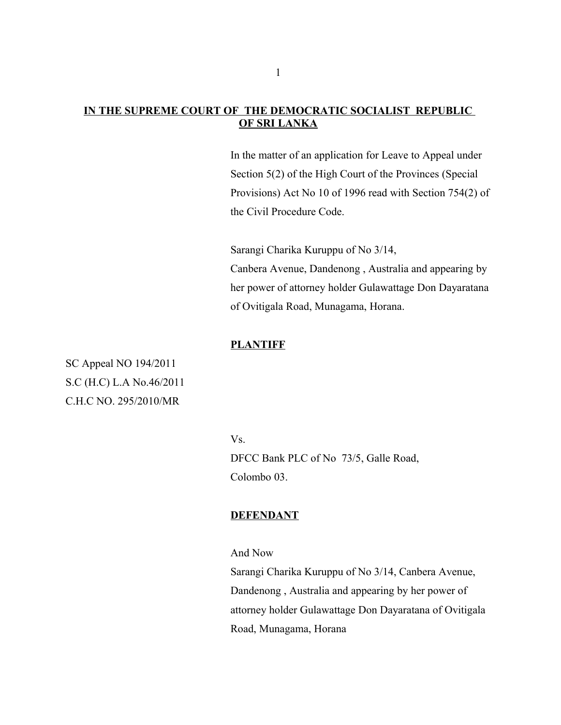### **IN THE SUPREME COURT OF THE DEMOCRATIC SOCIALIST REPUBLIC OF SRI LANKA**

 In the matter of an application for Leave to Appeal under Section 5(2) of the High Court of the Provinces (Special Provisions) Act No 10 of 1996 read with Section 754(2) of the Civil Procedure Code.

Sarangi Charika Kuruppu of No 3/14, Canbera Avenue, Dandenong , Australia and appearing by her power of attorney holder Gulawattage Don Dayaratana of Ovitigala Road, Munagama, Horana.

### **PLANTIFF**

SC Appeal NO 194/2011 S.C (H.C) L.A No.46/2011 C.H.C NO. 295/2010/MR

Vs.

DFCC Bank PLC of No 73/5, Galle Road, Colombo 03.

### **DEFENDANT**

And Now

Sarangi Charika Kuruppu of No 3/14, Canbera Avenue, Dandenong , Australia and appearing by her power of attorney holder Gulawattage Don Dayaratana of Ovitigala Road, Munagama, Horana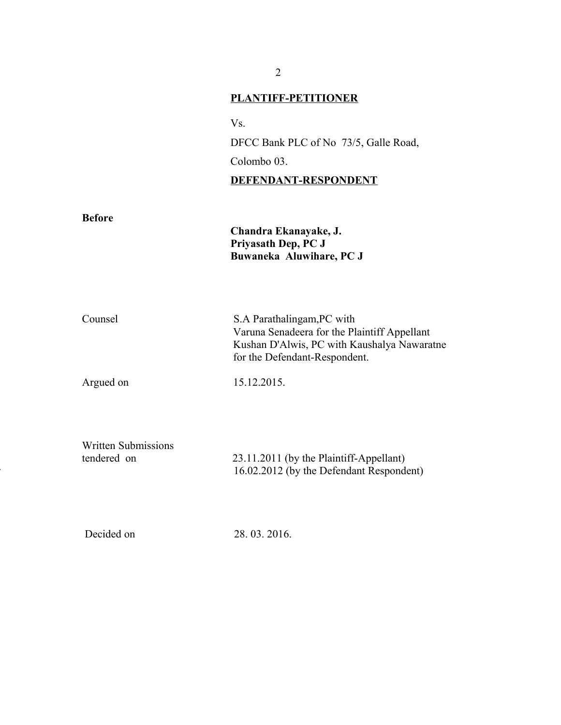# **PLANTIFF-PETITIONER**

Vs.

DFCC Bank PLC of No 73/5, Galle Road, Colombo 03.

## **DEFENDANT-RESPONDENT**

| <b>Before</b>                             | Chandra Ekanayake, J.<br>Priyasath Dep, PC J<br>Buwaneka Aluwihare, PC J                                                                                   |
|-------------------------------------------|------------------------------------------------------------------------------------------------------------------------------------------------------------|
| Counsel                                   | S.A Parathalingam, PC with<br>Varuna Senadeera for the Plaintiff Appellant<br>Kushan D'Alwis, PC with Kaushalya Nawaratne<br>for the Defendant-Respondent. |
| Argued on                                 | 15.12.2015.                                                                                                                                                |
| <b>Written Submissions</b><br>tendered on | 23.11.2011 (by the Plaintiff-Appellant)<br>16.02.2012 (by the Defendant Respondent)                                                                        |
| Decided on                                | 28.03.2016.                                                                                                                                                |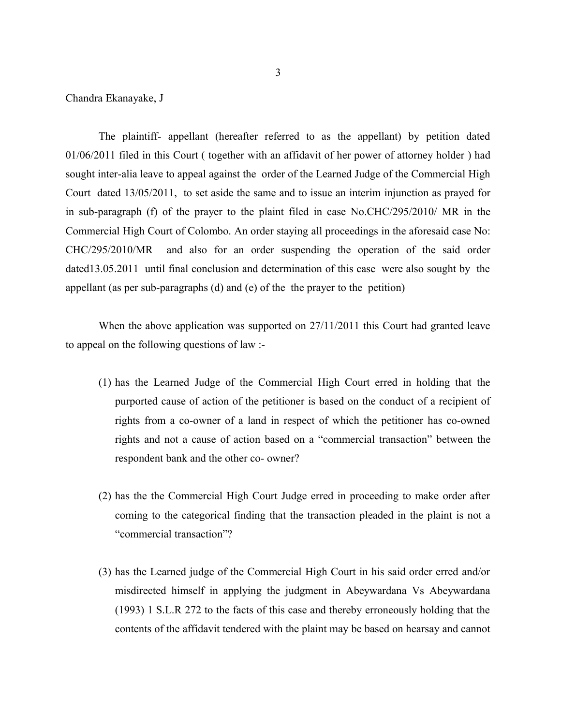Chandra Ekanayake, J

The plaintiff- appellant (hereafter referred to as the appellant) by petition dated 01/06/2011 filed in this Court ( together with an affidavit of her power of attorney holder ) had sought inter-alia leave to appeal against the order of the Learned Judge of the Commercial High Court dated 13/05/2011, to set aside the same and to issue an interim injunction as prayed for in sub-paragraph (f) of the prayer to the plaint filed in case No.CHC/295/2010/ MR in the Commercial High Court of Colombo. An order staying all proceedings in the aforesaid case No: CHC/295/2010/MR and also for an order suspending the operation of the said order dated13.05.2011 until final conclusion and determination of this case were also sought by the appellant (as per sub-paragraphs (d) and (e) of the the prayer to the petition)

When the above application was supported on 27/11/2011 this Court had granted leave to appeal on the following questions of law :-

- (1) has the Learned Judge of the Commercial High Court erred in holding that the purported cause of action of the petitioner is based on the conduct of a recipient of rights from a co-owner of a land in respect of which the petitioner has co-owned rights and not a cause of action based on a "commercial transaction" between the respondent bank and the other co- owner?
- (2) has the the Commercial High Court Judge erred in proceeding to make order after coming to the categorical finding that the transaction pleaded in the plaint is not a "commercial transaction"?
- (3) has the Learned judge of the Commercial High Court in his said order erred and/or misdirected himself in applying the judgment in Abeywardana Vs Abeywardana (1993) 1 S.L.R 272 to the facts of this case and thereby erroneously holding that the contents of the affidavit tendered with the plaint may be based on hearsay and cannot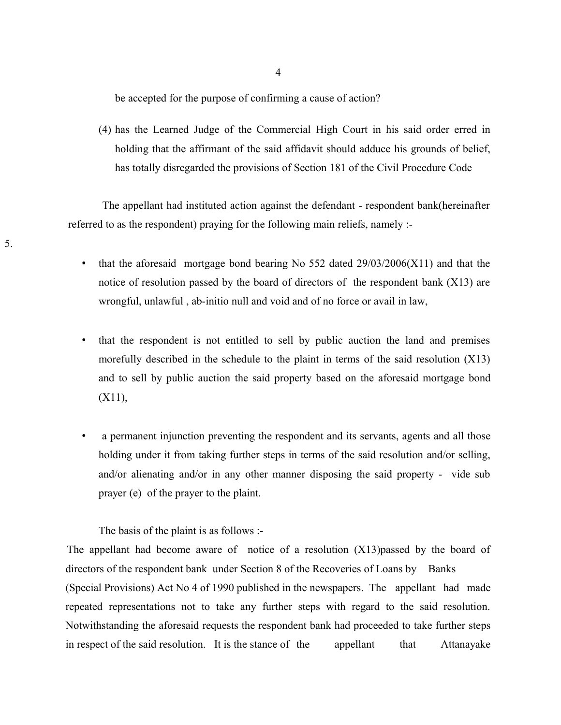be accepted for the purpose of confirming a cause of action?

(4) has the Learned Judge of the Commercial High Court in his said order erred in holding that the affirmant of the said affidavit should adduce his grounds of belief, has totally disregarded the provisions of Section 181 of the Civil Procedure Code

 The appellant had instituted action against the defendant - respondent bank(hereinafter referred to as the respondent) praying for the following main reliefs, namely :-

- that the aforesaid mortgage bond bearing No  $552$  dated  $29/03/2006(X11)$  and that the notice of resolution passed by the board of directors of the respondent bank (X13) are wrongful, unlawful , ab-initio null and void and of no force or avail in law,
- that the respondent is not entitled to sell by public auction the land and premises morefully described in the schedule to the plaint in terms of the said resolution (X13) and to sell by public auction the said property based on the aforesaid mortgage bond (X11),
- a permanent injunction preventing the respondent and its servants, agents and all those holding under it from taking further steps in terms of the said resolution and/or selling, and/or alienating and/or in any other manner disposing the said property - vide sub prayer (e) of the prayer to the plaint.

The basis of the plaint is as follows :-

5.

The appellant had become aware of notice of a resolution (X13)passed by the board of directors of the respondent bank under Section 8 of the Recoveries of Loans by Banks (Special Provisions) Act No 4 of 1990 published in the newspapers. The appellant had made repeated representations not to take any further steps with regard to the said resolution. Notwithstanding the aforesaid requests the respondent bank had proceeded to take further steps in respect of the said resolution. It is the stance of the appellant that Attanayake

4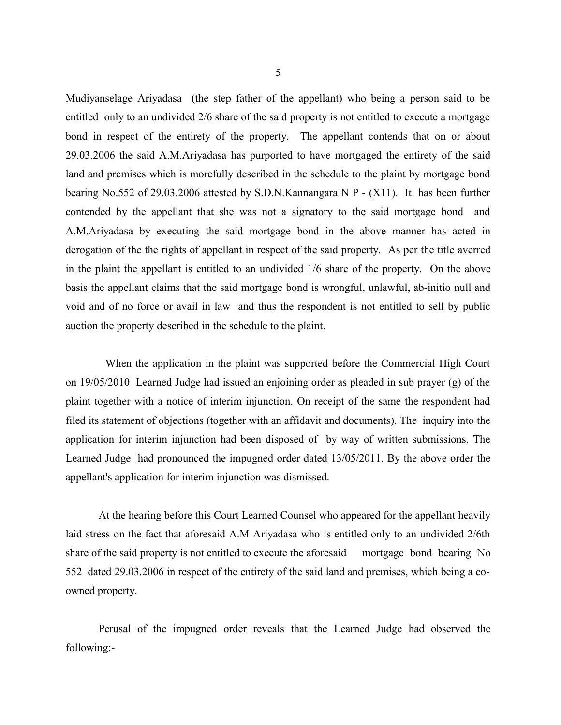Mudiyanselage Ariyadasa (the step father of the appellant) who being a person said to be entitled only to an undivided 2/6 share of the said property is not entitled to execute a mortgage bond in respect of the entirety of the property. The appellant contends that on or about 29.03.2006 the said A.M.Ariyadasa has purported to have mortgaged the entirety of the said land and premises which is morefully described in the schedule to the plaint by mortgage bond bearing No.552 of 29.03.2006 attested by S.D.N.Kannangara N P - (X11). It has been further contended by the appellant that she was not a signatory to the said mortgage bond and A.M.Ariyadasa by executing the said mortgage bond in the above manner has acted in derogation of the the rights of appellant in respect of the said property. As per the title averred in the plaint the appellant is entitled to an undivided 1/6 share of the property. On the above basis the appellant claims that the said mortgage bond is wrongful, unlawful, ab-initio null and void and of no force or avail in law and thus the respondent is not entitled to sell by public auction the property described in the schedule to the plaint.

When the application in the plaint was supported before the Commercial High Court on 19/05/2010 Learned Judge had issued an enjoining order as pleaded in sub prayer (g) of the plaint together with a notice of interim injunction. On receipt of the same the respondent had filed its statement of objections (together with an affidavit and documents). The inquiry into the application for interim injunction had been disposed of by way of written submissions. The Learned Judge had pronounced the impugned order dated 13/05/2011. By the above order the appellant's application for interim injunction was dismissed.

At the hearing before this Court Learned Counsel who appeared for the appellant heavily laid stress on the fact that aforesaid A.M Ariyadasa who is entitled only to an undivided 2/6th share of the said property is not entitled to execute the aforesaid mortgage bond bearing No 552 dated 29.03.2006 in respect of the entirety of the said land and premises, which being a coowned property.

Perusal of the impugned order reveals that the Learned Judge had observed the following:-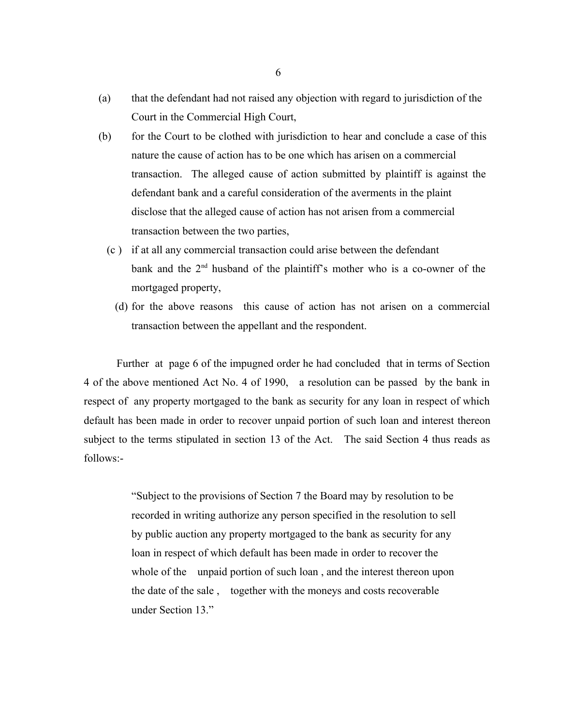- (a) that the defendant had not raised any objection with regard to jurisdiction of the Court in the Commercial High Court,
- (b) for the Court to be clothed with jurisdiction to hear and conclude a case of this nature the cause of action has to be one which has arisen on a commercial transaction. The alleged cause of action submitted by plaintiff is against the defendant bank and a careful consideration of the averments in the plaint disclose that the alleged cause of action has not arisen from a commercial transaction between the two parties,
	- (c ) if at all any commercial transaction could arise between the defendant bank and the 2nd husband of the plaintiff's mother who is a co-owner of the mortgaged property,
		- (d) for the above reasons this cause of action has not arisen on a commercial transaction between the appellant and the respondent.

 Further at page 6 of the impugned order he had concluded that in terms of Section 4 of the above mentioned Act No. 4 of 1990, a resolution can be passed by the bank in respect of any property mortgaged to the bank as security for any loan in respect of which default has been made in order to recover unpaid portion of such loan and interest thereon subject to the terms stipulated in section 13 of the Act. The said Section 4 thus reads as follows:-

> "Subject to the provisions of Section 7 the Board may by resolution to be recorded in writing authorize any person specified in the resolution to sell by public auction any property mortgaged to the bank as security for any loan in respect of which default has been made in order to recover the whole of the unpaid portion of such loan, and the interest thereon upon the date of the sale , together with the moneys and costs recoverable under Section 13."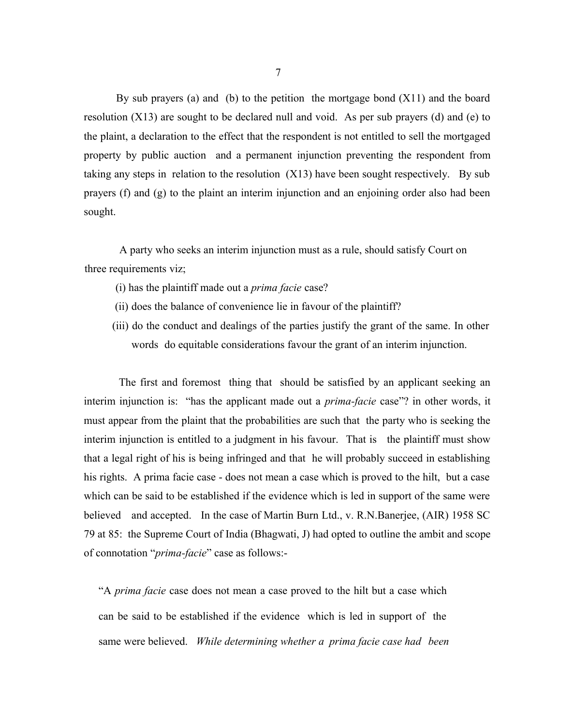By sub prayers (a) and (b) to the petition the mortgage bond  $(X11)$  and the board resolution (X13) are sought to be declared null and void. As per sub prayers (d) and (e) to the plaint, a declaration to the effect that the respondent is not entitled to sell the mortgaged property by public auction and a permanent injunction preventing the respondent from taking any steps in relation to the resolution (X13) have been sought respectively. By sub prayers (f) and (g) to the plaint an interim injunction and an enjoining order also had been sought.

 A party who seeks an interim injunction must as a rule, should satisfy Court on three requirements viz;

- (i) has the plaintiff made out a *prima facie* case?
- (ii) does the balance of convenience lie in favour of the plaintiff?
- (iii) do the conduct and dealings of the parties justify the grant of the same. In other words do equitable considerations favour the grant of an interim injunction.

 The first and foremost thing that should be satisfied by an applicant seeking an interim injunction is: "has the applicant made out a *prima-facie* case"? in other words, it must appear from the plaint that the probabilities are such that the party who is seeking the interim injunction is entitled to a judgment in his favour. That is the plaintiff must show that a legal right of his is being infringed and that he will probably succeed in establishing his rights. A prima facie case - does not mean a case which is proved to the hilt, but a case which can be said to be established if the evidence which is led in support of the same were believed and accepted. In the case of Martin Burn Ltd., v. R.N.Banerjee, (AIR) 1958 SC 79 at 85: the Supreme Court of India (Bhagwati, J) had opted to outline the ambit and scope of connotation "*prima-facie*" case as follows:-

"A *prima facie* case does not mean a case proved to the hilt but a case which can be said to be established if the evidence which is led in support of the same were believed. *While determining whether a prima facie case had been*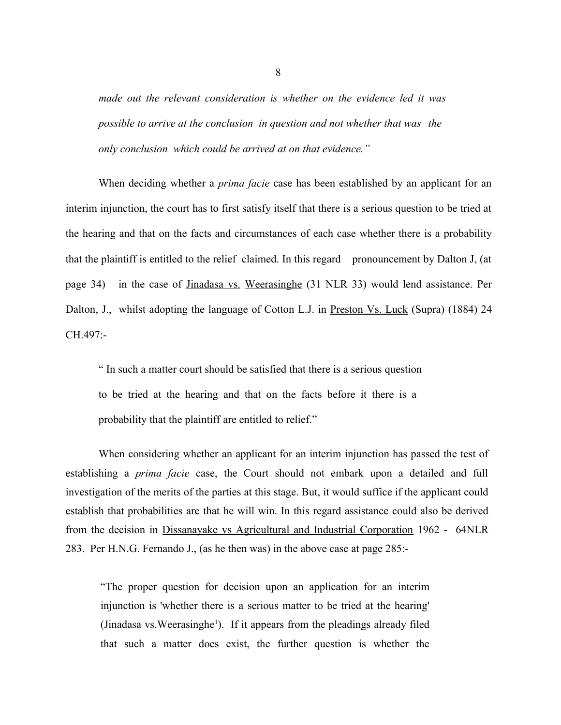*made out the relevant consideration is whether on the evidence led it was possible to arrive at the conclusion in question and not whether that was the only conclusion which could be arrived at on that evidence."*

When deciding whether a *prima facie* case has been established by an applicant for an interim injunction, the court has to first satisfy itself that there is a serious question to be tried at the hearing and that on the facts and circumstances of each case whether there is a probability that the plaintiff is entitled to the relief claimed. In this regard pronouncement by Dalton J, (at page 34) in the case of Jinadasa vs. Weerasinghe (31 NLR 33) would lend assistance. Per Dalton, J., whilst adopting the language of Cotton L.J. in Preston Vs. Luck (Supra) (1884) 24 CH.497:-

" In such a matter court should be satisfied that there is a serious question to be tried at the hearing and that on the facts before it there is a probability that the plaintiff are entitled to relief."

When considering whether an applicant for an interim injunction has passed the test of establishing a *prima facie* case, the Court should not embark upon a detailed and full investigation of the merits of the parties at this stage. But, it would suffice if the applicant could establish that probabilities are that he will win. In this regard assistance could also be derived from the decision in Dissanayake vs Agricultural and Industrial Corporation 1962 - 64NLR 283. Per H.N.G. Fernando J., (as he then was) in the above case at page 285:-

"The proper question for decision upon an application for an interim injunction is 'whether there is a serious matter to be tried at the hearing' (Jinadasa vs. Weerasinghe<sup>1</sup>). If it appears from the pleadings already filed that such a matter does exist, the further question is whether the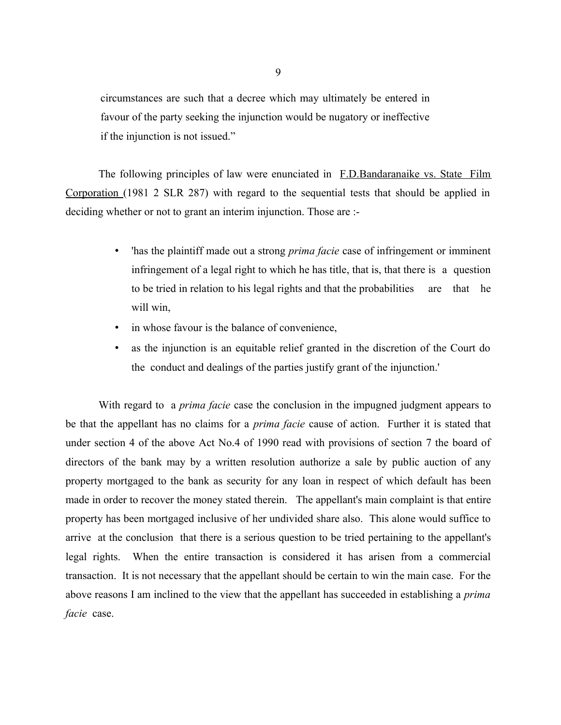circumstances are such that a decree which may ultimately be entered in favour of the party seeking the injunction would be nugatory or ineffective if the injunction is not issued."

The following principles of law were enunciated in F.D.Bandaranaike vs. State Film Corporation (1981 2 SLR 287) with regard to the sequential tests that should be applied in deciding whether or not to grant an interim injunction. Those are :-

- 'has the plaintiff made out a strong *prima facie* case of infringement or imminent infringement of a legal right to which he has title, that is, that there is a question to be tried in relation to his legal rights and that the probabilities are that he will win,
- in whose favour is the balance of convenience,
- as the injunction is an equitable relief granted in the discretion of the Court do the conduct and dealings of the parties justify grant of the injunction.'

With regard to a *prima facie* case the conclusion in the impugned judgment appears to be that the appellant has no claims for a *prima facie* cause of action. Further it is stated that under section 4 of the above Act No.4 of 1990 read with provisions of section 7 the board of directors of the bank may by a written resolution authorize a sale by public auction of any property mortgaged to the bank as security for any loan in respect of which default has been made in order to recover the money stated therein. The appellant's main complaint is that entire property has been mortgaged inclusive of her undivided share also. This alone would suffice to arrive at the conclusion that there is a serious question to be tried pertaining to the appellant's legal rights. When the entire transaction is considered it has arisen from a commercial transaction. It is not necessary that the appellant should be certain to win the main case. For the above reasons I am inclined to the view that the appellant has succeeded in establishing a *prima facie* case.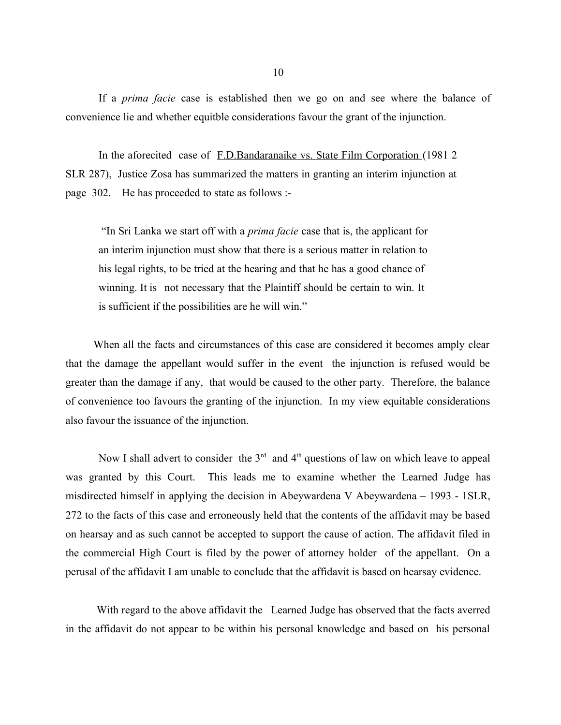If a *prima facie* case is established then we go on and see where the balance of convenience lie and whether equitble considerations favour the grant of the injunction.

In the aforecited case of F.D.Bandaranaike vs. State Film Corporation (1981 2) SLR 287), Justice Zosa has summarized the matters in granting an interim injunction at page 302. He has proceeded to state as follows :-

 "In Sri Lanka we start off with a *prima facie* case that is, the applicant for an interim injunction must show that there is a serious matter in relation to his legal rights, to be tried at the hearing and that he has a good chance of winning. It is not necessary that the Plaintiff should be certain to win. It is sufficient if the possibilities are he will win."

 When all the facts and circumstances of this case are considered it becomes amply clear that the damage the appellant would suffer in the event the injunction is refused would be greater than the damage if any, that would be caused to the other party. Therefore, the balance of convenience too favours the granting of the injunction. In my view equitable considerations also favour the issuance of the injunction.

Now I shall advert to consider the  $3<sup>rd</sup>$  and  $4<sup>th</sup>$  questions of law on which leave to appeal was granted by this Court. This leads me to examine whether the Learned Judge has misdirected himself in applying the decision in Abeywardena V Abeywardena  $-$  1993 - 1SLR, 272 to the facts of this case and erroneously held that the contents of the affidavit may be based on hearsay and as such cannot be accepted to support the cause of action. The affidavit filed in the commercial High Court is filed by the power of attorney holder of the appellant. On a perusal of the affidavit I am unable to conclude that the affidavit is based on hearsay evidence.

 With regard to the above affidavit the Learned Judge has observed that the facts averred in the affidavit do not appear to be within his personal knowledge and based on his personal